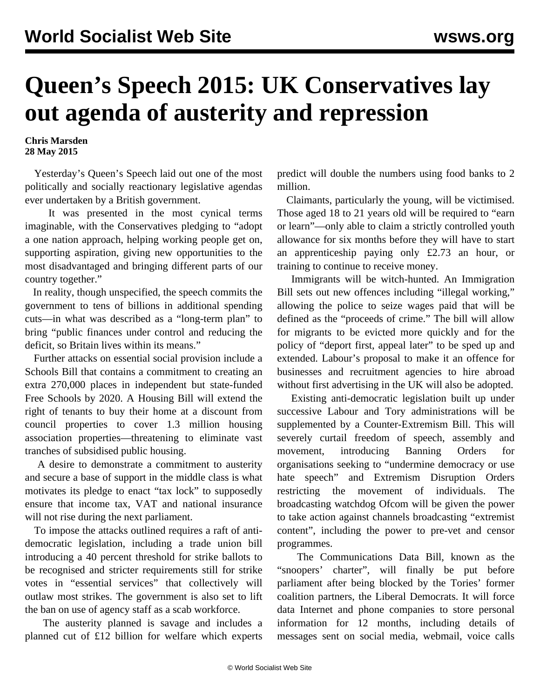## **Queen's Speech 2015: UK Conservatives lay out agenda of austerity and repression**

**Chris Marsden 28 May 2015**

 Yesterday's Queen's Speech laid out one of the most politically and socially reactionary legislative agendas ever undertaken by a British government.

 It was presented in the most cynical terms imaginable, with the Conservatives pledging to "adopt a one nation approach, helping working people get on, supporting aspiration, giving new opportunities to the most disadvantaged and bringing different parts of our country together."

 In reality, though unspecified, the speech commits the government to tens of billions in additional spending cuts—in what was described as a "long-term plan" to bring "public finances under control and reducing the deficit, so Britain lives within its means."

 Further attacks on essential social provision include a Schools Bill that contains a commitment to creating an extra 270,000 places in independent but state-funded Free Schools by 2020. A Housing Bill will extend the right of tenants to buy their home at a discount from council properties to cover 1.3 million housing association properties—threatening to eliminate vast tranches of subsidised public housing.

 A desire to demonstrate a commitment to austerity and secure a base of support in the middle class is what motivates its pledge to enact "tax lock" to supposedly ensure that income tax, VAT and national insurance will not rise during the next parliament.

 To impose the attacks outlined requires a raft of antidemocratic legislation, including a trade union bill introducing a 40 percent threshold for strike ballots to be recognised and stricter requirements still for strike votes in "essential services" that collectively will outlaw most strikes. The government is also set to lift the ban on use of agency staff as a scab workforce.

 The austerity planned is savage and includes a planned cut of £12 billion for welfare which experts

predict will double the numbers using food banks to 2 million.

 Claimants, particularly the young, will be victimised. Those aged 18 to 21 years old will be required to "earn or learn"—only able to claim a strictly controlled youth allowance for six months before they will have to start an apprenticeship paying only £2.73 an hour, or training to continue to receive money.

 Immigrants will be witch-hunted. An Immigration Bill sets out new offences including "illegal working," allowing the police to seize wages paid that will be defined as the "proceeds of crime." The bill will allow for migrants to be evicted more quickly and for the policy of "deport first, appeal later" to be sped up and extended. Labour's proposal to make it an offence for businesses and recruitment agencies to hire abroad without first advertising in the UK will also be adopted.

 Existing anti-democratic legislation built up under successive Labour and Tory administrations will be supplemented by a Counter-Extremism Bill. This will severely curtail freedom of speech, assembly and movement, introducing Banning Orders for organisations seeking to "undermine democracy or use hate speech" and Extremism Disruption Orders restricting the movement of individuals. The broadcasting watchdog Ofcom will be given the power to take action against channels broadcasting "extremist content", including the power to pre-vet and censor programmes.

 The Communications Data Bill, known as the "snoopers' charter", will finally be put before parliament after being blocked by the Tories' former coalition partners, the Liberal Democrats. It will force data Internet and phone companies to store personal information for 12 months, including details of messages sent on social media, webmail, voice calls